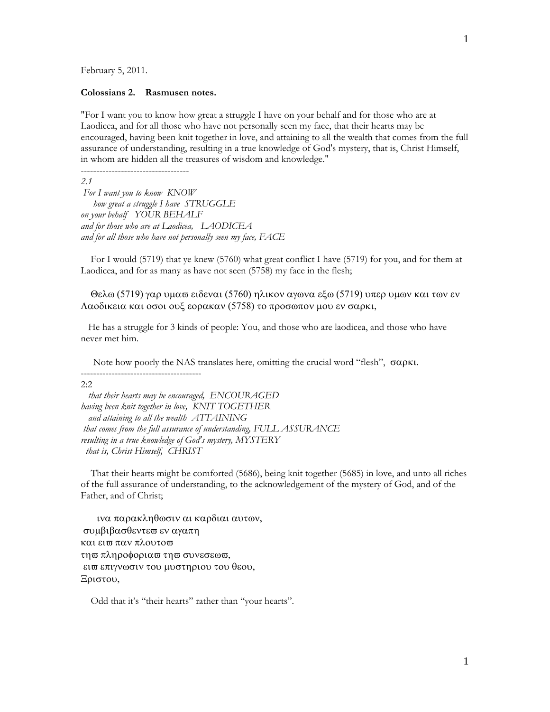February 5, 2011.

### **Colossians 2. Rasmusen notes.**

"For I want you to know how great a struggle I have on your behalf and for those who are at Laodicea, and for all those who have not personally seen my face, that their hearts may be encouraged, having been knit together in love, and attaining to all the wealth that comes from the full assurance of understanding, resulting in a true knowledge of God's mystery, that is, Christ Himself, in whom are hidden all the treasures of wisdom and knowledge."

-----------------------------------

*2.1* 

 *For I want you to know KNOW how great a struggle I have STRUGGLE on your behalf YOUR BEHALF and for those who are at Laodicea, LAODICEA and for all those who have not personally seen my face, FACE* 

 For I would (5719) that ye knew (5760) what great conflict I have (5719) for you, and for them at Laodicea, and for as many as have not seen (5758) my face in the flesh;

Θελω (5719) γαρ υμαπ ειδεναι (5760) ηλικον αγωνα εξω (5719) υπερ υμων και των εν Λαοδικεια και οσοι ουξ εορακαν (5758) το προσωπον μου εν σαρκι,

 He has a struggle for 3 kinds of people: You, and those who are laodicea, and those who have never met him.

Note how poorly the NAS translates here, omitting the crucial word "flesh",  $\sigma \alpha \rho \kappa t$ .

2:2

 *that their hearts may be encouraged, ENCOURAGED having been knit together in love, KNIT TOGETHER and attaining to all the wealth ATTAINING that comes from the full assurance of understanding, FULL ASSURANCE resulting in a true knowledge of God's mystery, MYSTERY that is, Christ Himself, CHRIST* 

 That their hearts might be comforted (5686), being knit together (5685) in love, and unto all riches of the full assurance of understanding, to the acknowledgement of the mystery of God, and of the Father, and of Christ;

ινα παρακληθωσιν αι καρδιαι αυτων, συμβιβασθεντεω εν αγαπη και ει<del>ω</del> παν πλουτο<del>ω</del> τη σπληροφορια στη συνεσεωσ. εισε επιγνωσιν του μυστηριου του θεου, Ξριστου,

---------------------------------------

Odd that it's "their hearts" rather than "your hearts".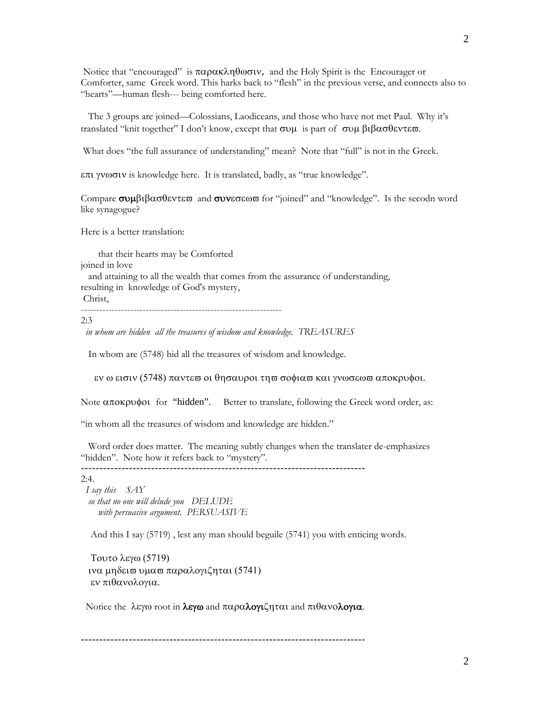Notice that "encouraged" is  $\pi \alpha \rho \alpha \kappa \lambda \eta \theta \omega \sigma \nu$ , and the Holy Spirit is the Encourager or Comforter, same Greek word. This harks back to "flesh" in the previous verse, and connects also to "hearts"—human flesh--- being comforted here.

 The 3 groups are joined—Colossians, Laodiceans, and those who have not met Paul. Why it's translated "knit together" I don't know, except that  $\sigma$ v $\mu$  is part of  $\sigma$ v $\mu$   $\beta$ t $\beta\alpha\sigma\theta\epsilon$ v $\tau\epsilon\varpi$ .

What does "the full assurance of understanding" mean? Note that "full" is not in the Greek.

is knowledge here. It is translated, badly, as "true knowledge".

Compare  $\sigma \nu \mu \beta \iota \beta \alpha \sigma \theta \epsilon \nu \tau \epsilon \sigma$  and  $\sigma \nu \nu \epsilon \sigma \epsilon \omega \sigma$  for "joined" and "knowledge". Is the secodn word like synagogue?

Here is a better translation:

 that their hearts may be Comforted joined in love and attaining to all the wealth that comes from the assurance of understanding, resulting in knowledge of God's mystery, Christ,

-----------------------------------------------------------------

2:3

*in whom are hidden all the treasures of wisdom and knowledge. TREASURES*

In whom are (5748) hid all the treasures of wisdom and knowledge.

εν ω εισιν (5748) παντεσ οι θησαυροι τησ σοφιασ και γνωσεωσ αποκρυφοι.

Note  $\alpha \pi$  or pote for "hidden". Better to translate, following the Greek word order, as:

"in whom all the treasures of wisdom and knowledge are hidden."

 Word order does matter. The meaning subtly changes when the translater de-emphasizes "hidden". Note how it refers back to "mystery".

 $-$ 

 $2:4.$ 

 *I say this SAY so that no one will delude you DELUDE with persuasive argument. PERSUASIVE*

And this I say (5719) , lest any man should beguile (5741) you with enticing words.

Τουτο λεγω (5719) ινα μηδεισ υμασ παραλογιζηται (5741) εν πιθανολογια.

Notice the  $\lambda \varepsilon \gamma \omega$  root in  $\lambda \varepsilon \gamma \omega$  and  $\pi \alpha \rho \alpha \lambda \omega \gamma \alpha \gamma \alpha$  and  $\pi \iota \theta \alpha \nu \omega \lambda \omega \gamma \alpha$ .

-----------------------------------------------------------------------------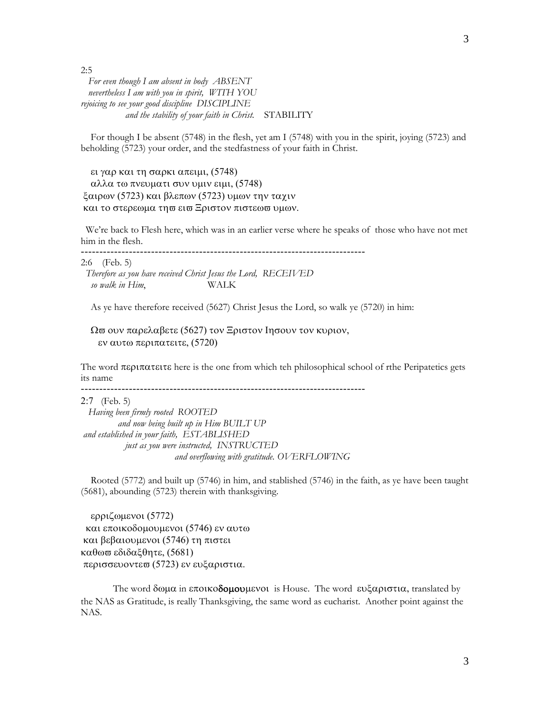2:5

 *For even though I am absent in body ABSENT nevertheless I am with you in spirit, WITH YOU rejoicing to see your good discipline DISCIPLINE and the stability of your faith in Christ*. STABILITY

 For though I be absent (5748) in the flesh, yet am I (5748) with you in the spirit, joying (5723) and beholding (5723) your order, and the stedfastness of your faith in Christ.

ει γαρ και τη σαρκι απειμι, (5748) αλλα τω πνευματι συν υμιν ειμι, (5748) ξαιρων (5723) και βλεπων (5723) υμων την ταχιν και το στερεωμα τη ει ει Εριστον πιστεω τυμων.

 We're back to Flesh here, which was in an earlier verse where he speaks of those who have not met him in the flesh.

-----------------------------------------------------------------------------

2:6 (Feb. 5)  *Therefore as you have received Christ Jesus the Lord, RECEIVED so walk in Him*, WALK

As ye have therefore received (5627) Christ Jesus the Lord, so walk ye (5720) in him:

Ω σουν παρελαβετε (5627) τον Ξριστον Ιησουν τον κυριον, εν αυτω περιπατειτε, (5720)

The word  $\pi \epsilon p \pi \alpha \tau \epsilon t \tau$  is the one from which teh philosophical school of rthe Peripatetics gets its name

-----------------------------------------------------------------------------

(Feb. 5)

 *Having been firmly rooted ROOTED and now being built up in Him BUILT UP and established in your faith, ESTABLISHED just as you were instructed, INSTRUCTED and overflowing with gratitude. OVERFLOWING* 

 Rooted (5772) and built up (5746) in him, and stablished (5746) in the faith, as ye have been taught (5681), abounding (5723) therein with thanksgiving.

ερριζωμενοι (5772) και εποικοδομουμενοι (5746) εν αυτω και βεβαιουμενοι (5746) τη πιστει καθωσ εδιδαξθητε, (5681) περισσευοντεω (5723) εν ευξαριστια.

The word  $\delta \omega \mu \alpha$  in εποικοδομουμενοι is House. The word ευξαριστια, translated by the NAS as Gratitude, is really Thanksgiving, the same word as eucharist. Another point against the NAS.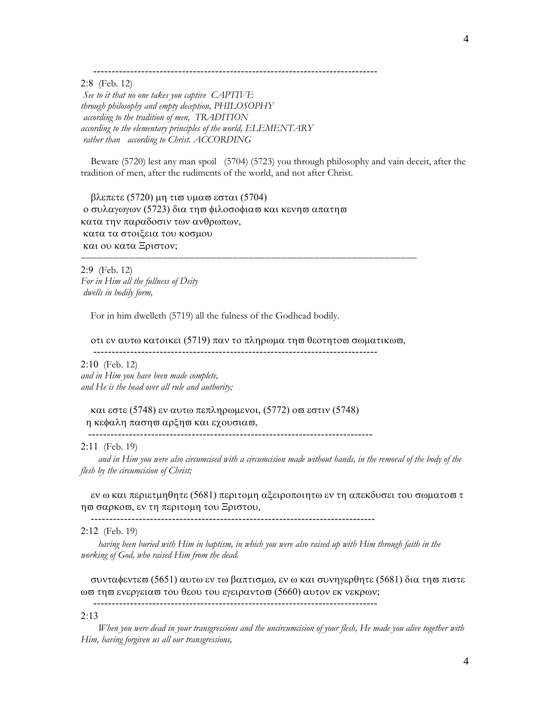-----------------------------------------------------------------------------

(Feb. 12)

*See to it that no one takes you captive CAPTIVE through philosophy and empty deception, PHILOSOPHY according to the tradition of men, TRADITION according to the elementary principles of the world, ELEMENTARY rather than according to Christ. ACCORDING*

 Beware (5720) lest any man spoil (5704) (5723) you through philosophy and vain deceit, after the tradition of men, after the rudiments of the world, and not after Christ.

 $βλ$ επετε (5720) μη τισ υμασ εσται (5704) ο συλαγωγων (5723) δια τη ω φιλοσοφια ω και κενη ω απατη ω κατα την παραδοσιν των ανθρωπων, κατα τα στοιξεια του κοσμου και ου κατα Ξριστον;

(Feb. 12) *For in Him all the fullness of Deity dwells in bodily form,* 

For in him dwelleth (5719) all the fulness of the Godhead bodily.

οτι εν αυτω κατοικει (5719) παν το πληρωμα τη σθεοτητο σωματικωσ,

-----------------------------------------------------------------------------

(Feb. 12) *and in Him you have been made complete, and He is the head over all rule and authority;* 

και εστε (5748) εν αυτω πεπληρωμενοι, (5772) οπ εστιν (5748) η κεφαλη παση αρέη σκαι εχουσια σ.

-----------------------------------------------------------------------------

# 2:11 (Feb. 19)

 *and in Him you were also circumcised with a circumcision made without hands, in the removal of the body of the flesh by the circumcision of Christ;* 

εν ω και περιετμηθητε (5681) περιτομη αξειροποιητω εν τη απεκδυσει του σωματοπ τ ησ σαρκοσ, εν τη περιτομη του Ξριστου,

-----------------------------------------------------------------------------

(Feb. 19)

 *having been buried with Him in baptism, in which you were also raised up with Him through faith in the working of God, who raised Him from the dead.* 

συνταφεντεσ (5651) αυτω εν τω βαπτισμω, εν ω και συνηγερθητε (5681) δια τησ πιστε ωσ τησ ενεργειασ του θεου του εγειραντοσ (5660) αυτον εκ νεκρων; -----------------------------------------------------------------------------

#### $2:13$

 *When you were dead in your transgressions and the uncircumcision of your flesh, He made you alive together with Him, having forgiven us all our transgressions,*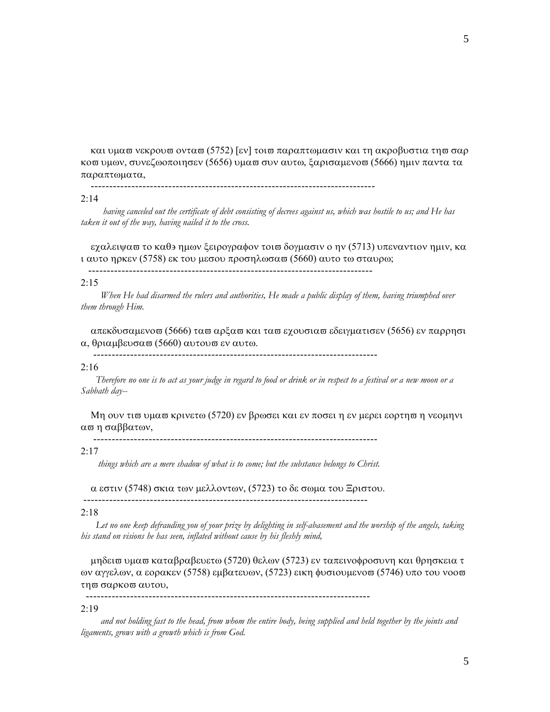και υμασ νεκρουσ οντασ (5752) [εν] τοισ παραπτωμασιν και τη ακροβυστια τησ σαρ κοσ υμων, συνεζωοποιησεν (5656) υμασ συν αυτω, ξαρισαμενοσ (5666) ημιν παντα τα παραπτωματα,

-----------------------------------------------------------------------------

## $2:14$

 *having canceled out the certificate of debt consisting of decrees against us, which was hostile to us; and He has taken it out of the way, having nailed it to the cross.* 

εχαλειψασ το καθε ημων ξειρογραφον τοι δογμασιν ο ην (5713) υπεναντιον ημιν, κα ι αυτο ηρκεν (5758) εκ του μεσου προσηλωσα (5660) αυτο τω σταυρω;

-----------------------------------------------------------------------------

# $2:15$

 *When He had disarmed the rulers and authorities, He made a public display of them, having triumphed over them through Him.* 

απεκδυσαμενοπ (5666) ταπ αρξαπ και ταπ εχουσιαπ εδειγματισεν (5656) εν παρρησι α, θριαμβευσα (5660) αυτου σε ν αυτω.

-----------------------------------------------------------------------------

# $2:16$

 *Therefore no one is to act as your judge in regard to food or drink or in respect to a festival or a new moon or a Sabbath day--* 

Μη ουν τισ υμασ κρινετω (5720) εν βρωσει και εν ποσει η εν μερει εορτηση νεομηνι απη σαββατων.

-----------------------------------------------------------------------------

# $2:17$

*things which are a mere shadow of what is to come; but the substance belongs to Christ.*

α εστιν (5748) σκια των μελλοντων, (5723) το δε σωμα του Ξριστου.

-----------------------------------------------------------------------------

-----------------------------------------------------------------------------

#### $2:18$

 *Let no one keep defrauding you of your prize by delighting in self-abasement and the worship of the angels, taking his stand on visions he has seen, inflated without cause by his fleshly mind,* 

μηδεισ υμασ καταβραβευετω (5720) θελων (5723) εν ταπεινοφροσυνη και θρησκεια τ ων αγγελων, α εορακεν (5758) εμβατευων, (5723) εικη φυσιουμενοπ (5746) υπο του νοοπ τη σαρκο σαυτου,

# $2:19$

 *and not holding fast to the head, from whom the entire body, being supplied and held together by the joints and ligaments, grows with a growth which is from God.*